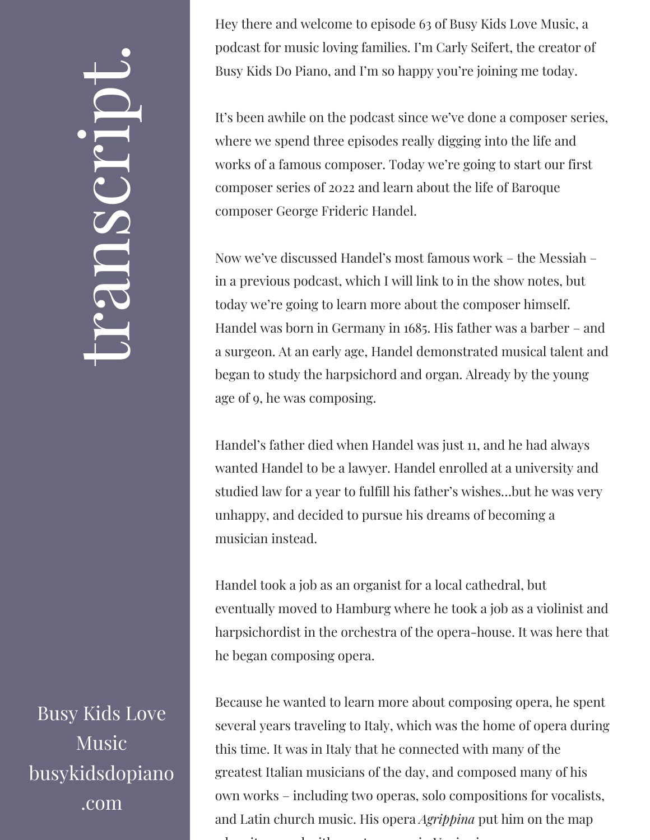## $\leftarrow$ ra<br>S n $\boldsymbol{C}$  $\bigcup$ r $\bullet$   $\overline{\phantom{1}}$  $\boxed{\phantom{1}}$  $\overline{\phantom{a}}$  $\bullet$

Busy Kids Love Music busykidsdopiano .com

Hey there and welcome to episode 63 of Busy Kids Love Music, a podcast for music loving families. I'm Carly Seifert, the creator of Busy Kids Do Piano, and I'm so happy you're joining me today.

It's been awhile on the podcast since we've done a composer series, where we spend three episodes really digging into the life and works of a famous composer. Today we're going to start our first composer series of 2022 and learn about the life of Baroque composer George Frideric Handel.

Now we've discussed Handel's most famous work – the Messiah – in a previous podcast, which I will link to in the show notes, but today we're going to learn more about the composer himself. Handel was born in Germany in 1685. His father was a barber – and a surgeon. At an early age, Handel demonstrated musical talent and began to study the harpsichord and organ. Already by the young age of 9, he was composing.

Handel's father died when Handel was just 11, and he had always wanted Handel to be a lawyer. Handel enrolled at a university and studied law for a year to fulfill his father's wishes…but he was very unhappy, and decided to pursue his dreams of becoming a musician instead.

Handel took a job as an organist for a local cathedral, but eventually moved to Hamburg where he took a job as a violinist and harpsichordist in the orchestra of the opera-house. It was here that he began composing opera.

Because he wanted to learn more about composing opera, he spent several years traveling to Italy, which was the home of opera during this time. It was in Italy that he connected with many of the greatest Italian musicians of the day, and composed many of his own works – including two operas, solo compositions for vocalists, and Latin church music. His opera *Agrippina* put him on the map h it distribution is a contract of the interest of the interest of the interest of the interest of the interes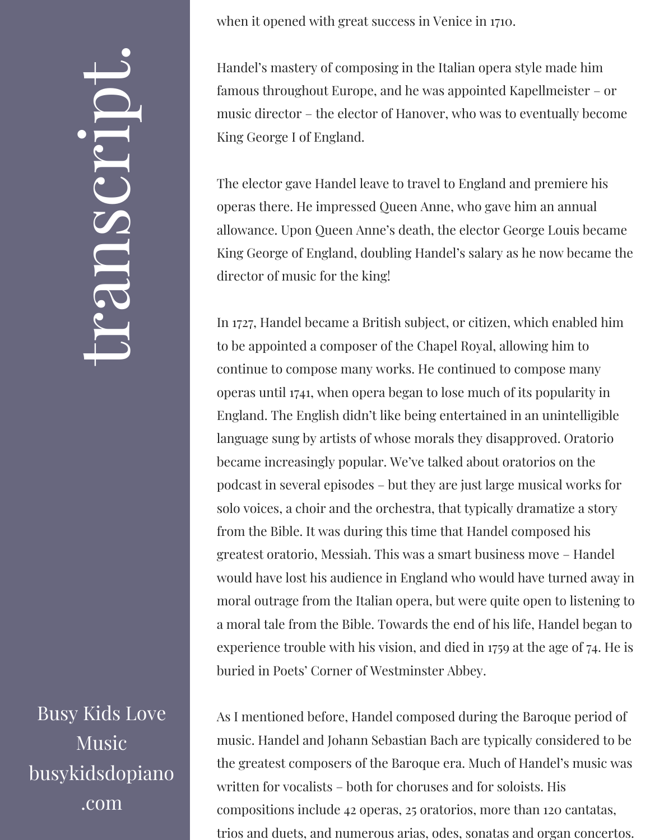## $\leftarrow$ ra<br>S n $\boldsymbol{C}$  $\bigcup$ r $\bullet$   $\overline{\phantom{1}}$  $\boxed{\phantom{1}}$  $\overline{\phantom{a}}$  $\bullet$

Busy Kids Love Music busykidsdopiano .com

when it opened with great success in Venice in 1710.

Handel's mastery of composing in the Italian opera style made him famous throughout Europe, and he was appointed Kapellmeister – or music director – the elector of Hanover, who was to eventually become King George I of England.

The elector gave Handel leave to travel to England and premiere his operas there. He impressed Queen Anne, who gave him an annual allowance. Upon Queen Anne's death, the elector George Louis became King George of England, doubling Handel's salary as he now became the director of music for the king!

In 1727, Handel became a British subject, or citizen, which enabled him to be appointed a composer of the Chapel Royal, allowing him to continue to compose many works. He continued to compose many operas until 1741, when opera began to lose much of its popularity in England. The English didn't like being entertained in an unintelligible language sung by artists of whose morals they disapproved. Oratorio became increasingly popular. We've talked about oratorios on the podcast in several episodes – but they are just large musical works for solo voices, a choir and the orchestra, that typically dramatize a story from the Bible. It was during this time that Handel composed his greatest oratorio, Messiah. This was a smart business move – Handel would have lost his audience in England who would have turned away in moral outrage from the Italian opera, but were quite open to listening to a moral tale from the Bible. Towards the end of his life, Handel began to experience trouble with his vision, and died in 1759 at the age of 74. He is buried in Poets' Corner of Westminster Abbey.

As I mentioned before, Handel composed during the Baroque period of music. Handel and Johann Sebastian Bach are typically considered to be the greatest composers of the Baroque era. Much of Handel's music was written for vocalists – both for choruses and for soloists. His compositions include 42 operas, 25 oratorios, more than 120 cantatas, trios and duets, and numerous arias, odes, sonatas and organ concertos.